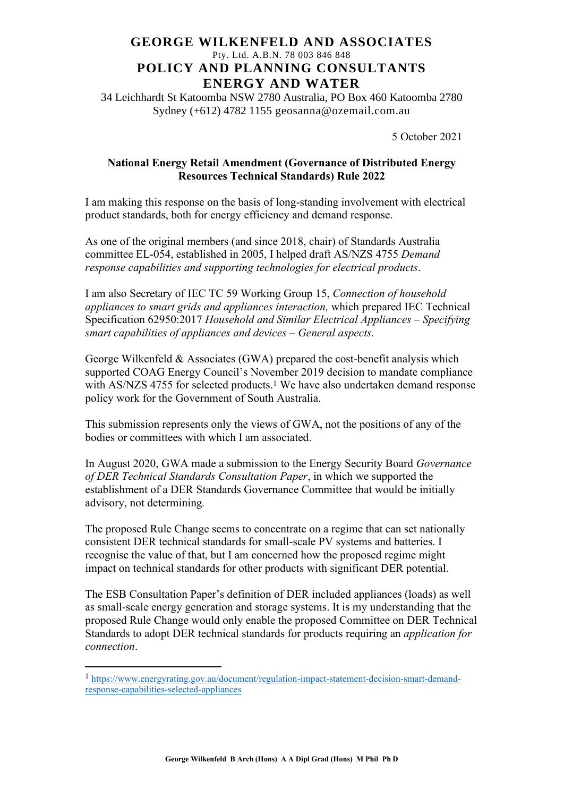## **GEORGE WILKENFELD AND ASSOCIATES** Pty. Ltd. A.B.N. 78 003 846 848 **POLICY AND PLANNING CONSULTANTS ENERGY AND WATER**

34 Leichhardt St Katoomba NSW 2780 Australia, PO Box 460 Katoomba 2780 Sydney (+612) 4782 1155 geosanna@ozemail.com.au

5 October 2021

## **National Energy Retail Amendment (Governance of Distributed Energy Resources Technical Standards) Rule 2022**

I am making this response on the basis of long-standing involvement with electrical product standards, both for energy efficiency and demand response.

As one of the original members (and since 2018, chair) of Standards Australia committee EL-054, established in 2005, I helped draft AS/NZS 4755 *Demand response capabilities and supporting technologies for electrical products*.

I am also Secretary of IEC TC 59 Working Group 15, *Connection of household appliances to smart grids and appliances interaction,* which prepared IEC Technical Specification 62950:2017 *Household and Similar Electrical Appliances – Specifying smart capabilities of appliances and devices – General aspects.*

George Wilkenfeld & Associates (GWA) prepared the cost-benefit analysis which supported COAG Energy Council's November 2019 decision to mandate compliance with AS/NZS 4755 for selected products.<sup>1</sup> We have also undertaken demand response policy work for the Government of South Australia.

This submission represents only the views of GWA, not the positions of any of the bodies or committees with which I am associated.

In August 2020, GWA made a submission to the Energy Security Board *Governance of DER Technical Standards Consultation Paper*, in which we supported the establishment of a DER Standards Governance Committee that would be initially advisory, not determining*.*

The proposed Rule Change seems to concentrate on a regime that can set nationally consistent DER technical standards for small-scale PV systems and batteries. I recognise the value of that, but I am concerned how the proposed regime might impact on technical standards for other products with significant DER potential.

The ESB Consultation Paper's definition of DER included appliances (loads) as well as small-scale energy generation and storage systems. It is my understanding that the proposed Rule Change would only enable the proposed Committee on DER Technical Standards to adopt DER technical standards for products requiring an *application for connection*.

<sup>1</sup> [https://www.energyrating.gov.au/document/regulation-impact-statement-decision-smart-demand](https://www.energyrating.gov.au/document/regulation-impact-statement-decision-smart-demand-response-capabilities-selected-appliances)[response-capabilities-selected-appliances](https://www.energyrating.gov.au/document/regulation-impact-statement-decision-smart-demand-response-capabilities-selected-appliances)